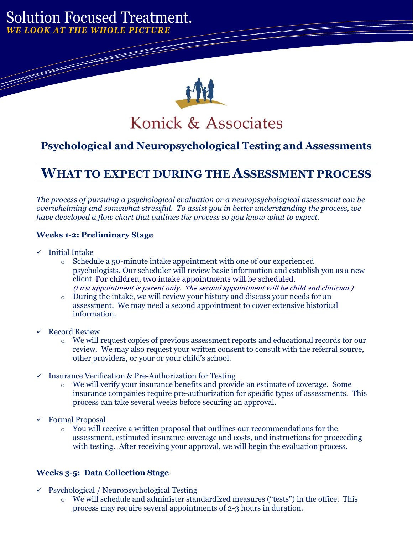## *WE LOOK AT THE WHOLE PICTURE* Solution Focused Treatment.

't make the jump until you very self-



## **Psychological and Neuropsychological Testing and Assessments**

# **WHAT TO EXPECT DURING THE ASSESSMENT PROCESS**

*The process of pursuing a psychological evaluation or a neuropsychological assessment can be overwhelming and somewhat stressful. To assist you in better understanding the process, we have developed a flow chart that outlines the process so you know what to expect.*

### **Weeks 1-2: Preliminary Stage**

✓ Initial Intake

aspect of what a career change of what a career change of what a career change of what a career change of what

- $\circ$  Schedule a 50-minute intake appointment with one of our experienced client. For children, two intake appointments will be scheduled. psychologists. Our scheduler will review basic information and establish you as a new (First appointment is parent only. The second appointment will be child and clinician.)
- o During the intake, we will review your history and discuss your needs for an assessment. We may need a second appointment to cover extensive historical information.
- ✓ Record Review
	- o We will request copies of previous assessment reports and educational records for our review. We may also request your written consent to consult with the referral source, other providers, or your or your child's school.
- ✓ Insurance Verification & Pre-Authorization for Testing
	- o We will verify your insurance benefits and provide an estimate of coverage. Some insurance companies require pre-authorization for specific types of assessments. This process can take several weeks before securing an approval.
- ✓ Formal Proposal
	- $\circ$  You will receive a written proposal that outlines our recommendations for the assessment, estimated insurance coverage and costs, and instructions for proceeding with testing. After receiving your approval, we will begin the evaluation process.

#### **Weeks 3-5: Data Collection Stage**

- $\checkmark$  Psychological / Neuropsychological Testing
	- o We will schedule and administer standardized measures ("tests") in the office. This process may require several appointments of 2-3 hours in duration.